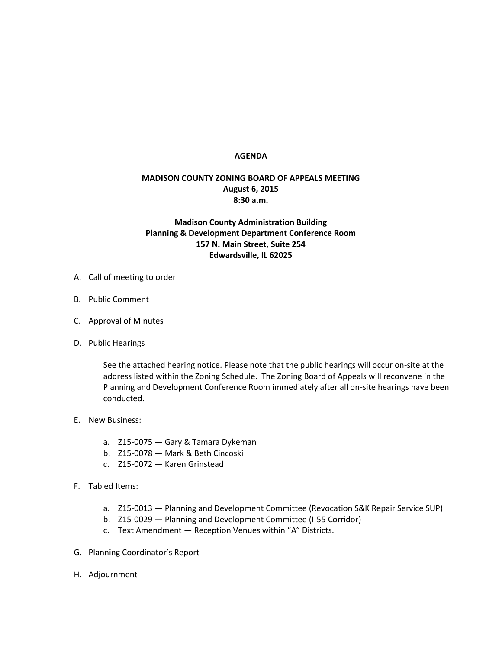## **AGENDA**

## **MADISON COUNTY ZONING BOARD OF APPEALS MEETING August 6, 2015 8:30 a.m.**

## **Madison County Administration Building Planning & Development Department Conference Room 157 N. Main Street, Suite 254 Edwardsville, IL 62025**

- A. Call of meeting to order
- B. Public Comment
- C. Approval of Minutes
- D. Public Hearings

See the attached hearing notice. Please note that the public hearings will occur on-site at the address listed within the Zoning Schedule. The Zoning Board of Appeals will reconvene in the Planning and Development Conference Room immediately after all on-site hearings have been conducted.

- E. New Business:
	- a. Z15-0075 Gary & Tamara Dykeman
	- b. Z15-0078 Mark & Beth Cincoski
	- c. Z15-0072 Karen Grinstead
- F. Tabled Items:
	- a. Z15-0013 Planning and Development Committee (Revocation S&K Repair Service SUP)
	- b. Z15-0029 Planning and Development Committee (I-55 Corridor)
	- c. Text Amendment Reception Venues within "A" Districts.
- G. Planning Coordinator's Report
- H. Adjournment